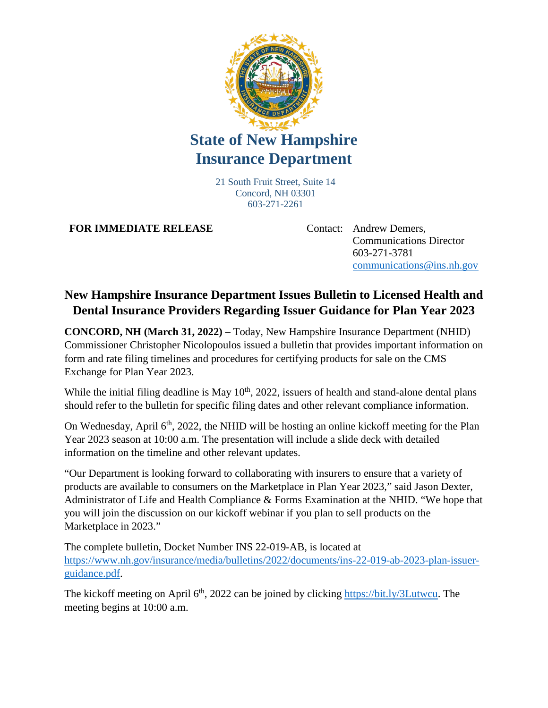

## **State of New Hampshire Insurance Department**

21 South Fruit Street, Suite 14 Concord, NH 03301 603-271-2261

**FOR IMMEDIATE RELEASE** Contact: Andrew Demers,

Communications Director 603-271-3781 [communications@ins.nh.gov](mailto:communications@ins.nh.gov)

## **New Hampshire Insurance Department Issues Bulletin to Licensed Health and Dental Insurance Providers Regarding Issuer Guidance for Plan Year 2023**

**CONCORD, NH (March 31, 2022)** – Today, New Hampshire Insurance Department (NHID) Commissioner Christopher Nicolopoulos issued a bulletin that provides important information on form and rate filing timelines and procedures for certifying products for sale on the CMS Exchange for Plan Year 2023.

While the initial filing deadline is May  $10<sup>th</sup>$ , 2022, issuers of health and stand-alone dental plans should refer to the bulletin for specific filing dates and other relevant compliance information.

On Wednesday, April  $6<sup>th</sup>$ , 2022, the NHID will be hosting an online kickoff meeting for the Plan Year 2023 season at 10:00 a.m. The presentation will include a slide deck with detailed information on the timeline and other relevant updates.

"Our Department is looking forward to collaborating with insurers to ensure that a variety of products are available to consumers on the Marketplace in Plan Year 2023," said Jason Dexter, Administrator of Life and Health Compliance & Forms Examination at the NHID. "We hope that you will join the discussion on our kickoff webinar if you plan to sell products on the Marketplace in 2023."

The complete bulletin, Docket Number INS 22-019-AB, is located at [https://www.nh.gov/insurance/media/bulletins/2022/documents/ins-22-019-ab-2023-plan-issuer](https://www.nh.gov/insurance/media/bulletins/2022/documents/ins-22-019-ab-2023-plan-issuer-guidance.pdf)[guidance.pdf.](https://www.nh.gov/insurance/media/bulletins/2022/documents/ins-22-019-ab-2023-plan-issuer-guidance.pdf)

The kickoff meeting on April 6<sup>th</sup>, 2022 can be joined by clicking [https://bit.ly/3Lutwcu.](https://bit.ly/3Lutwcu) The meeting begins at 10:00 a.m.